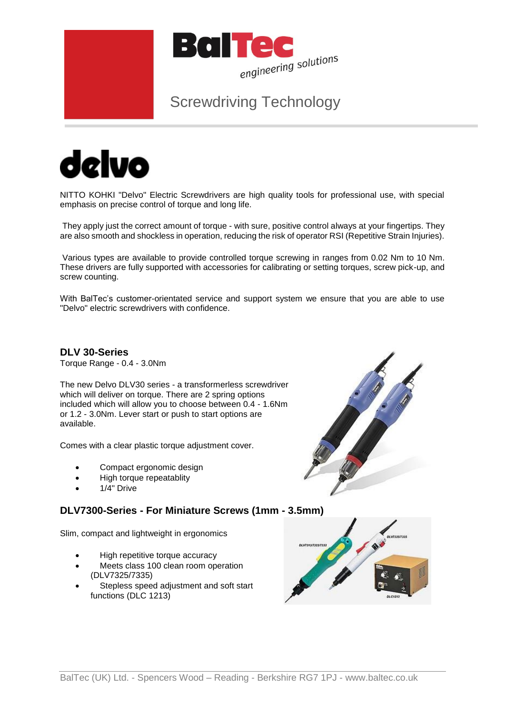

# Screwdriving Technology



NITTO KOHKI "Delvo" Electric Screwdrivers are high quality tools for professional use, with special emphasis on precise control of torque and long life.

They apply just the correct amount of torque - with sure, positive control always at your fingertips. They are also smooth and shockless in operation, reducing the risk of operator RSI (Repetitive Strain Injuries).

Various types are available to provide controlled torque screwing in ranges from 0.02 Nm to 10 Nm. These drivers are fully supported with accessories for calibrating or setting torques, screw pick-up, and screw counting.

With BalTec's customer-orientated service and support system we ensure that you are able to use "Delvo" electric screwdrivers with confidence.

**DLV 30-Series** Torque Range - 0.4 - 3.0Nm

The new Delvo DLV30 series - a transformerless screwdriver which will deliver on torque. There are 2 spring options included which will allow you to choose between 0.4 - 1.6Nm or 1.2 - 3.0Nm. Lever start or push to start options are available.

Comes with a clear plastic torque adjustment cover.

- Compact ergonomic design
- High torque repeatablity
- 1/4" Drive

# **DLV7300-Series - For Miniature Screws (1mm - 3.5mm)**

Slim, compact and lightweight in ergonomics

- High repetitive torque accuracy
- Meets class 100 clean room operation (DLV7325/7335)
- Stepless speed adjustment and soft start functions (DLC 1213)



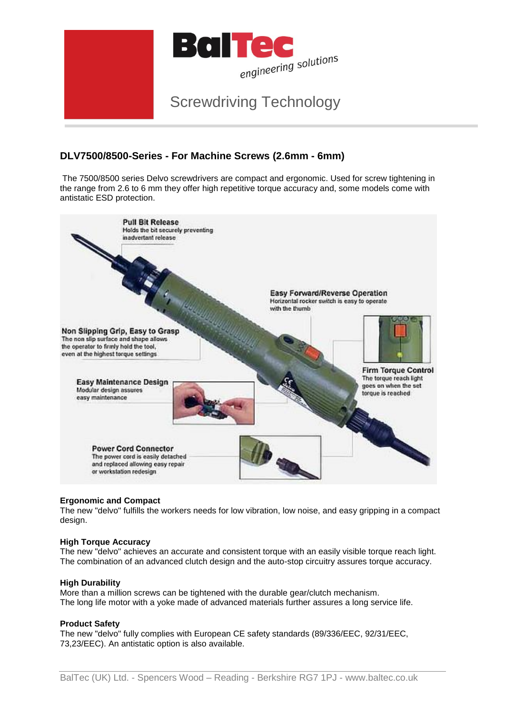

# **DLV7500/8500-Series - For Machine Screws (2.6mm - 6mm)**

The 7500/8500 series Delvo screwdrivers are compact and ergonomic. Used for screw tightening in the range from 2.6 to 6 mm they offer high repetitive torque accuracy and, some models come with antistatic ESD protection.



## **Ergonomic and Compact**

The new "delvo" fulfills the workers needs for low vibration, low noise, and easy gripping in a compact design.

#### **High Torque Accuracy**

The new "delvo" achieves an accurate and consistent torque with an easily visible torque reach light. The combination of an advanced clutch design and the auto-stop circuitry assures torque accuracy.

#### **High Durability**

More than a million screws can be tightened with the durable gear/clutch mechanism. The long life motor with a yoke made of advanced materials further assures a long service life.

#### **Product Safety**

The new "delvo" fully complies with European CE safety standards (89/336/EEC, 92/31/EEC, 73,23/EEC). An antistatic option is also available.